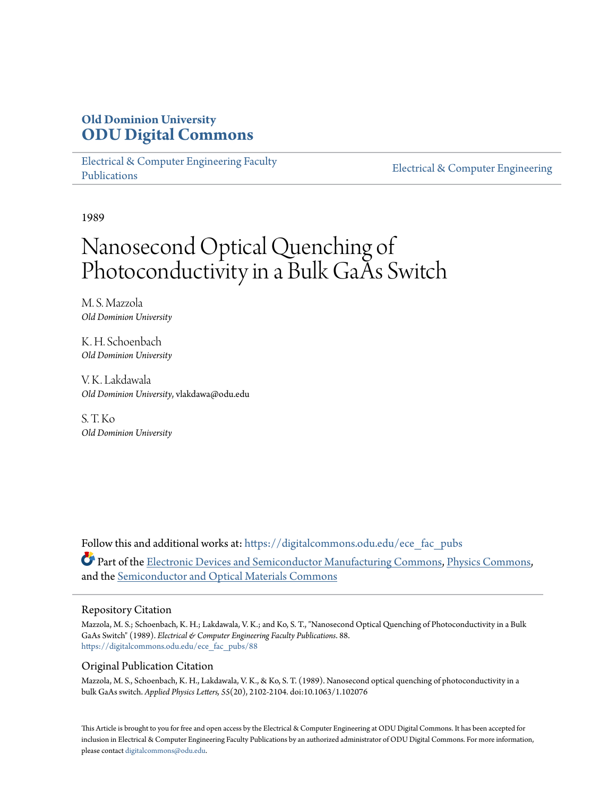# **Old Dominion University [ODU Digital Commons](https://digitalcommons.odu.edu?utm_source=digitalcommons.odu.edu%2Fece_fac_pubs%2F88&utm_medium=PDF&utm_campaign=PDFCoverPages)**

[Electrical & Computer Engineering Faculty](https://digitalcommons.odu.edu/ece_fac_pubs?utm_source=digitalcommons.odu.edu%2Fece_fac_pubs%2F88&utm_medium=PDF&utm_campaign=PDFCoverPages) [Publications](https://digitalcommons.odu.edu/ece_fac_pubs?utm_source=digitalcommons.odu.edu%2Fece_fac_pubs%2F88&utm_medium=PDF&utm_campaign=PDFCoverPages)

[Electrical & Computer Engineering](https://digitalcommons.odu.edu/ece?utm_source=digitalcommons.odu.edu%2Fece_fac_pubs%2F88&utm_medium=PDF&utm_campaign=PDFCoverPages)

1989

# Nanosecond Optical Quenching of Photoconductivity in a Bulk GaAs Switch

M. S. Mazzola *Old Dominion University*

K. H. Schoenbach *Old Dominion University*

V. K. Lakdawala *Old Dominion University*, vlakdawa@odu.edu

S. T. Ko *Old Dominion University*

Follow this and additional works at: [https://digitalcommons.odu.edu/ece\\_fac\\_pubs](https://digitalcommons.odu.edu/ece_fac_pubs?utm_source=digitalcommons.odu.edu%2Fece_fac_pubs%2F88&utm_medium=PDF&utm_campaign=PDFCoverPages) Part of the [Electronic Devices and Semiconductor Manufacturing Commons](http://network.bepress.com/hgg/discipline/272?utm_source=digitalcommons.odu.edu%2Fece_fac_pubs%2F88&utm_medium=PDF&utm_campaign=PDFCoverPages), [Physics Commons,](http://network.bepress.com/hgg/discipline/193?utm_source=digitalcommons.odu.edu%2Fece_fac_pubs%2F88&utm_medium=PDF&utm_campaign=PDFCoverPages) and the [Semiconductor and Optical Materials Commons](http://network.bepress.com/hgg/discipline/290?utm_source=digitalcommons.odu.edu%2Fece_fac_pubs%2F88&utm_medium=PDF&utm_campaign=PDFCoverPages)

#### Repository Citation

Mazzola, M. S.; Schoenbach, K. H.; Lakdawala, V. K.; and Ko, S. T., "Nanosecond Optical Quenching of Photoconductivity in a Bulk GaAs Switch" (1989). *Electrical & Computer Engineering Faculty Publications*. 88. [https://digitalcommons.odu.edu/ece\\_fac\\_pubs/88](https://digitalcommons.odu.edu/ece_fac_pubs/88?utm_source=digitalcommons.odu.edu%2Fece_fac_pubs%2F88&utm_medium=PDF&utm_campaign=PDFCoverPages)

#### Original Publication Citation

Mazzola, M. S., Schoenbach, K. H., Lakdawala, V. K., & Ko, S. T. (1989). Nanosecond optical quenching of photoconductivity in a bulk GaAs switch. *Applied Physics Letters, 55*(20), 2102-2104. doi:10.1063/1.102076

This Article is brought to you for free and open access by the Electrical & Computer Engineering at ODU Digital Commons. It has been accepted for inclusion in Electrical & Computer Engineering Faculty Publications by an authorized administrator of ODU Digital Commons. For more information, please contact [digitalcommons@odu.edu](mailto:digitalcommons@odu.edu).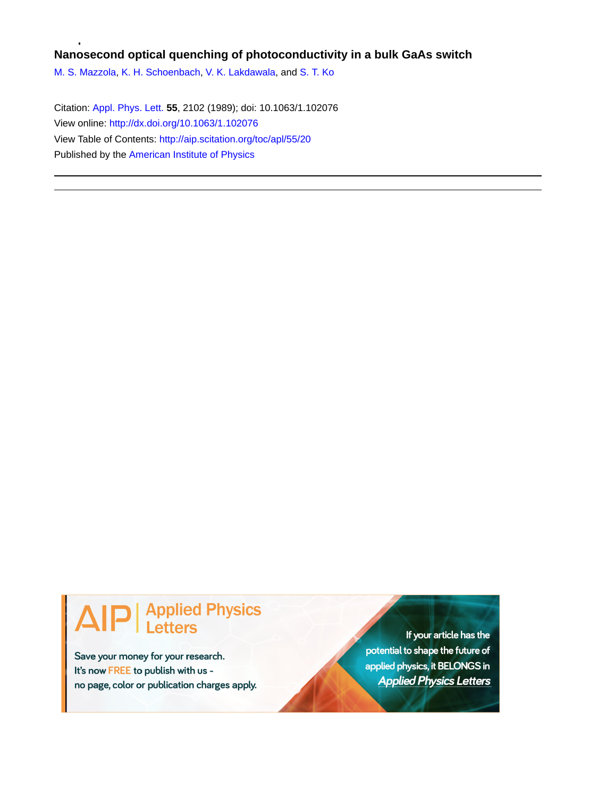## **Nanosecond optical quenching of photoconductivity in a bulk GaAs switch**

[M. S. Mazzola,](http://aip.scitation.org/author/Mazzola%2C+M+S) [K. H. Schoenbach,](http://aip.scitation.org/author/Schoenbach%2C+K+H) [V. K. Lakdawala,](http://aip.scitation.org/author/Lakdawala%2C+V+K) and [S. T. Ko](http://aip.scitation.org/author/Ko%2C+S+T)

Citation: [Appl. Phys. Lett.](/loi/apl) **55**, 2102 (1989); doi: 10.1063/1.102076 View online: <http://dx.doi.org/10.1063/1.102076> View Table of Contents: <http://aip.scitation.org/toc/apl/55/20> Published by the [American Institute of Physics](http://aip.scitation.org/publisher/)

# **Applied Physics Letters**

Save your money for your research. It's now FREE to publish with us no page, color or publication charges apply.

If your article has the potential to shape the future of applied physics, it BELONGS in **Applied Physics Letters**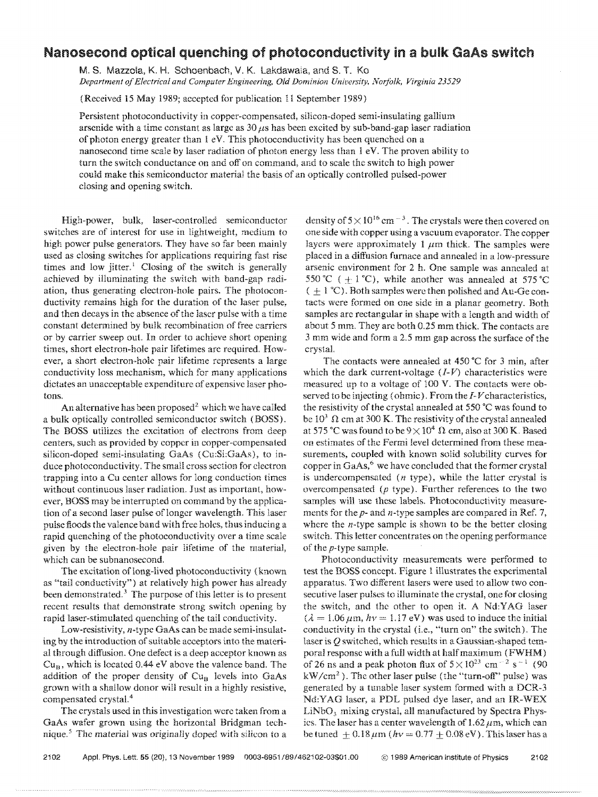### Nanosecond optical quenching of photoconductivity in a bulk: GaAs sWItch

M. S. Mazzola, K. H. Schoenbach, V. K. Lakdawaia, and S. T. Ko *Department of Electrical and Computer Engineering, Old Dominion University, Norfolk, Virginia 23529* 

(Received 15 May 1989; accepted for publication 11 September 1989)

Persistent photoconductivity in copper-compensated, silicon-doped semi-insulating gallium arsenide with a time constant as large as  $30 \mu s$  has been excited by sub-band-gap laser radiation of photon energy greater than 1 eV. This photoconductivity has been quenched on a nanosecond time scale by laser radiation of photon energy less than  $1 \text{ eV}$ . The proven ability to turn the switch conductance on and off on command, and to scale the switch to high power could make this semiconductor material the basis of an optically controlled pulsed-power closing and opening switch.

High-power, bulk, laser-controlled semiconductor switches are of interest for use in lightweight, medium to high power pulse generators. They have so far been mainly used as closing switches for applications requiring fast rise times and low jitter.<sup>1</sup> Closing of the switch is generally achieved by illuminating the switch with band-gap radiation, thus generating electron-hole pairs. The photoconductivity remains high for the duration of the laser pulse, and then decays in the absence of the laser pulse with a time constant determined by bulk recombination of free carriers or by carrier sweep out. In order to achieve short opening times, short electron-hole pair lifetimes are required. However, a short electron-hole pair lifetime represents a large conductivity loss mechanism, which for many applications dictates an unacceptable expenditure of expensive laser photons.

An alternative has been proposed<sup>2</sup> which we have called a bulk optically controlled semiconductor switch (BOSS). The BOSS utilizes the excitation of electrons from deep centers, such as provided by copper in copper-compensated silicon-doped semi-insulating GaAs (Cu:Si:GaAs), to induce photoconductivity. The small cross section for electron trapping into a Cu center allows for long conduction times without continuous laser radiation. Just as important, however, BOSS may be interrupted on command by the application of a second laser pulse of longer wavelength. This laser pulse floods the valence band with free holes, thus inducing a rapid quenching of the photoconductivity over a time scale given by the electron-hole pair lifetime of the material, which can be subnanosecond.

The excitation of long-lived photoconductivity (known as "tail conductivity") at relatively high power has already been demonstrated.<sup>3</sup> The purpose of this letter is to present recent results that demonstrate strong switch opening by rapid laser-stimulated quenching of the tail conductivity.

Low-resistivity, n-type GaAs can be made semi-insulating by the introduction of suitable acceptors into the material through diffusion. One defect is a deep acceptor known as  $Cu_B$ , which is located 0.44 eV above the valence band. The addition of the proper density of  $Cu<sub>B</sub>$  levels into GaAs grown with a shallow donor will result in a highly resistive, compensated crystal.<sup>4</sup>

The crystals used in this investigation wcre taken from a GaAs wafer grown using the horizontal Bridgman technique.<sup>5</sup> The material was originally doped with silicon to a density of  $5 \times 10^{16}$  cm<sup>-3</sup>. The crystals were then covered on one side with copper using a vacuum evaporator. The copper layers were approximately 1  $\mu$ m thick. The samples were placed in a diffusion fumace and annealed in a low-pressure arsenic environment for 2 h. One sample was annealed at 550 °C ( $\pm$ 1 °C), while another was annealed at 575 °C  $( + 1 °C)$ . Both samples were then polished and Au-Ge contacts were formed on one side in a planar geometry. Both samples are rectangular in shape with a length and width of about 5 mm. They are both 0.25 mm thick. The contacts are 3 mm wide and form a 2.5 mm gap across the surface of the crystal.

The contacts were annealed at 450°C for 3 min, after which the dark current-voltage  $(I-V)$  characteristics were measured up to a voltage of 100 V. The contacts were observed to be injecting (ohmic). From the  $I-V$  characteristics, the resistivity of the crystal annealed at 550°C was found to be  $10^3 \Omega$  cm at 300 K. The resistivity of the crystal annealed at 575 °C was found to be  $9 \times 10^4$   $\Omega$  cm, also at 300 K. Based on estimates of the Fermi level determined from these measurements, coupled with known solid solubility curves for copper in  $GaAs<sup>6</sup>$  we have concluded that the former crystal is undercompensated  $(n$  type), while the latter crystal is overcompensated  $(p$  type). Further references to the two samples will use these labels. Photoconductivity measurements for the *p-* and n-type samples are compared in Ref. 7, where the  $n$ -type sample is shown to be the better closing switch. This letter concentrates on the opening performance of the p-type sample.

Photoconductivity measurements were performed to test the BOSS concept. Figure 1 illustrates the experimental apparatus. Two different lasers were used to allow two consecutive laser pulses to illuminate the crystal, one for closing the switch, and the other to open it. A Nd:YAG laser  $(\lambda = 1.06 \,\mu\text{m}, h\nu = 1.17 \text{ eV})$  was used to induce the initial conductivity in the crystal (i.e., "turn on" the switch). The laser is *Q* switched, which results in a Gaussian-shaped temporal response with a full width at half maximum (FWHM) of 26 ns and a peak photon flux of  $5 \times 10^{23}$  cm<sup>-2</sup> s<sup>-1</sup> (90)  $kW/cm<sup>2</sup>$ ). The other laser pulse (the "turn-off" pulse) was generated by a tunable laser system formed with a DCR-3 Nd:YAG laser, a PDL pulsed dye laser, and an IR-WEX  $LiNbO<sub>3</sub>$  mixing crystal, all manufactured by Spectra Physics. The laser has a center wavelength of  $1.62 \mu m$ , which can be tuned  $\pm 0.18 \,\mu\text{m}$  (hv = 0.77  $\pm$  0.08 eV). This laser has a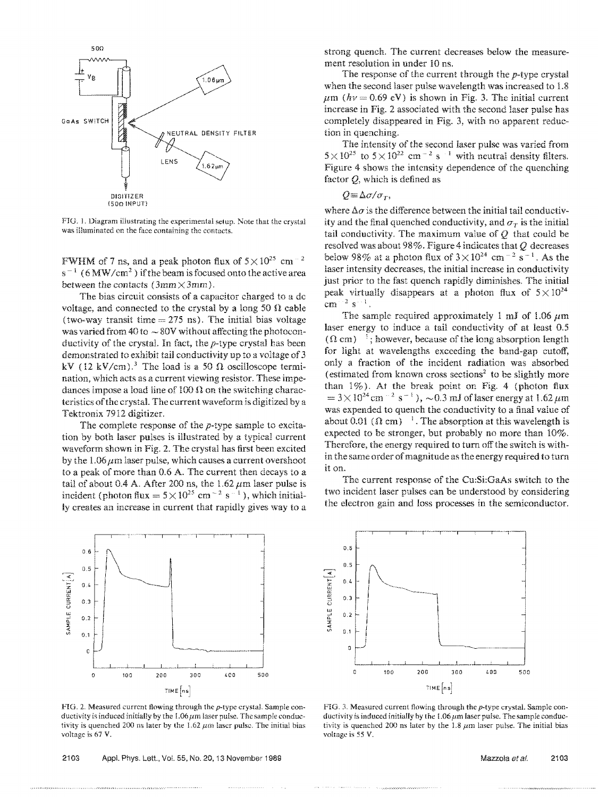

FIG. 1. Diagram illustrating the experimental setup. Note that the crystal was illuminated on the face containing the contacts.

FWHM of 7 ns, and a peak photon flux of  $5 \times 10^{25}$  cm<sup>-2</sup>  $s^{-1}$  (6 MW/cm<sup>2</sup>) if the beam is focused onto the active area between the contacts ( $3mm \times 3mm$ ).

The bias circuit consists of a capacitor charged to a dc voltage, and connected to the crystal by a long 50  $\Omega$  cable (two-way transit time  $= 275$  ns). The initial bias voltage was varied from 40 to  $\sim$  80V without affecting the photoconductivity of the crystal. In fact, the p-type crystal has been demonstrated to exhibit tail conductivity up to a voltage of 3 kV (12 kV/cm).<sup>3</sup> The load is a 50  $\Omega$  oscilloscope termination, which acts as a current viewing resistor. These impedances impose a load line of 100  $\Omega$  on the switching characteristics of the crystal. The current waveform is digitized by a Tektronix 7912 digitizer.

The complete response of the  $p$ -type sample to excitation by both laser pulses is illustrated by a typical current waveform shown in Fig. 2. The crystal has first been excited by the  $1.06 \mu m$  laser pulse, which causes a current overshoot to a peak of more than 0.6 A. The current then decays to a tail of about 0.4 A. After 200 ns, the 1.62  $\mu$ m laser pulse is incident (photon flux =  $5 \times 10^{25}$  cm<sup>-2</sup> s<sup>-1</sup>), which initially creates an increase in current that rapidly gives way to a



FIG. 2. Measured current flowing through the p-type crystal. Sample conductivity is induced initially by the  $1.06 \mu m$  laser pulse. The sample conductivity is quenched 200 ns later by the 1.62  $\mu$ m laser pulse. The initial bias voltage is 67 V.

2103 Appl. Phys. Lett., Vol. 55, No. 20, 13 November 1989

strong quench. The current decreases below the measurement resolution in under 10 ns.

The response of the current through the p-type crystal when the second laser pulse wavelength was increased to 1.8  $\mu$ m (hv = 0.69 eV) is shown in Fig. 3. The initial current increase in Fig. 2 associated with the second laser pulse has completely disappeared in Fig. 3, with no apparent reduction in quenching.

The intensity of the second laser pulse was varied from  $5 \times 10^{25}$  to  $5 \times 10^{22}$  cm<sup>-2</sup> s<sup>-1</sup> with neutral density filters. Figure 4 shows the intensity dependence of the quenching factor  $Q$ , which is defined as

$$
Q = \Delta \sigma / \sigma_T,
$$

where  $\Delta \sigma$  is the difference between the initial tail conductivity and the final quenched conductivity, and  $\sigma_r$  is the initial tail conductivity. The maximum value of *Q* that could be resolved was about 98%. Figure 4 indicates that *Q* decreases below 98% at a photon flux of  $3 \times 10^{24}$  cm<sup>-2</sup> s<sup>-1</sup>. As the laser intensity decreases, the initial increase in conductivity just prior to the fast quench rapidly diminishes. The initial peak virtually disappears at a photon flux of  $5 \times 10^{24}$  $cm^{-2}$  s<sup> $\cdot$ -1</sup>.

The sample required approximately 1 mJ of 1.06  $\mu$ m laser energy to induce a tail conductivity of at least 0.5  $(0 \text{ cm})^{-1}$ ; however, because of the long absorption length for light at wavelengths exceeding the band-gap cutoff, only a fraction of the incident radiation was absorbed (estimated from known cross sections<sup>2</sup> to be slightly more than  $1\%$ ). At the break point on Fig. 4 (photon flux  $= 3 \times 10^{24}$  cm  $^{-2}$  s<sup>-1</sup>),  $\sim 0.3$  mJ of laser energy at 1.62  $\mu$ m was expended to quench the conductivity to a final value of about 0.01 ( $\Omega$  cm) <sup>1</sup>. The absorption at this wavelength is expected to be stronger, but probably no more than 10%. Therefore, the energy required to turn off the switch is within the same order of magnitude as the energy required to turn it on.

The current response of the Cu:Si:GaAs switch to the two incident laser pulses can be understood by considering the electron gain and loss processes in the semiconductor.



FIG. 3. Measured current flowing through the p-type crystal. Sample conductivity is induced initially by the  $1.06 \mu m$  laser pulse. The sample conductivity is quenched 200 ns later by the 1.8  $\mu$ m laser pulse. The initial bias voltage is 55 V.